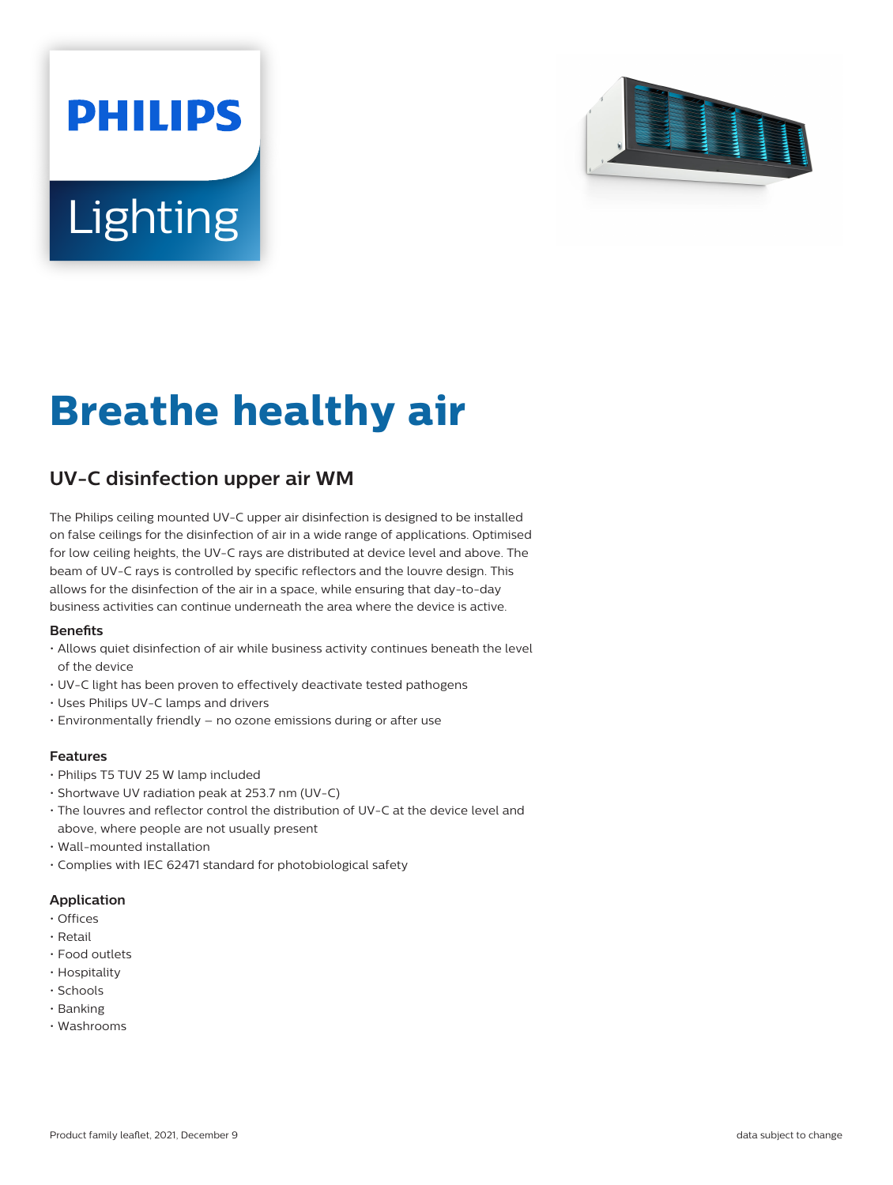# **PHILIPS Lighting**



## **Breathe healthy air**

### **UV-C disinfection upper air WM**

The Philips ceiling mounted UV-C upper air disinfection is designed to be installed on false ceilings for the disinfection of air in a wide range of applications. Optimised for low ceiling heights, the UV-C rays are distributed at device level and above. The beam of UV-C rays is controlled by specific reflectors and the louvre design. This allows for the disinfection of the air in a space, while ensuring that day-to-day business activities can continue underneath the area where the device is active.

#### **Benets**

- Allows quiet disinfection of air while business activity continues beneath the level of the device
- UV-C light has been proven to effectively deactivate tested pathogens
- Uses Philips UV-C lamps and drivers
- Environmentally friendly no ozone emissions during or after use

#### **Features**

- Philips T5 TUV 25 W lamp included
- Shortwave UV radiation peak at 253.7 nm (UV-C)
- The louvres and reflector control the distribution of UV-C at the device level and above, where people are not usually present
- Wall-mounted installation
- Complies with IEC 62471 standard for photobiological safety

#### **Application**

- Offices
- Retail
- Food outlets
- Hospitality
- Schools
- Banking
- Washrooms